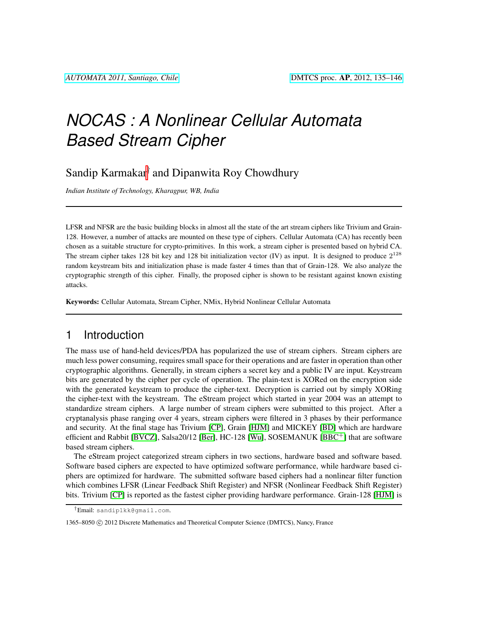# *NOCAS : A Nonlinear Cellular Automata Based Stream Cipher*

Sandip Karmakar<sup>†</sup> and Dipanwita Roy Chowdhury

*Indian Institute of Technology, Kharagpur, WB, India*

LFSR and NFSR are the basic building blocks in almost all the state of the art stream ciphers like Trivium and Grain-128. However, a number of attacks are mounted on these type of ciphers. Cellular Automata (CA) has recently been chosen as a suitable structure for crypto-primitives. In this work, a stream cipher is presented based on hybrid CA. The stream cipher takes 128 bit key and 128 bit initialization vector (IV) as input. It is designed to produce  $2^{128}$ random keystream bits and initialization phase is made faster 4 times than that of Grain-128. We also analyze the cryptographic strength of this cipher. Finally, the proposed cipher is shown to be resistant against known existing attacks.

Keywords: Cellular Automata, Stream Cipher, NMix, Hybrid Nonlinear Cellular Automata

# 1 Introduction

The mass use of hand-held devices/PDA has popularized the use of stream ciphers. Stream ciphers are much less power consuming, requires small space for their operations and are faster in operation than other cryptographic algorithms. Generally, in stream ciphers a secret key and a public IV are input. Keystream bits are generated by the cipher per cycle of operation. The plain-text is XORed on the encryption side with the generated keystream to produce the cipher-text. Decryption is carried out by simply XORing the cipher-text with the keystream. The eStream project which started in year 2004 was an attempt to standardize stream ciphers. A large number of stream ciphers were submitted to this project. After a cryptanalysis phase ranging over 4 years, stream ciphers were filtered in 3 phases by their performance and security. At the final stage has Trivium [\[CP\]](#page-10-0), Grain [\[HJM\]](#page-11-0) and MICKEY [\[BD\]](#page-10-1) which are hardware efficient and Rabbit [\[BVCZ\]](#page-10-2), Salsa20/12 [\[Ber\]](#page-10-3), HC-128 [\[Wu\]](#page-11-1), SOSEMANUK [\[BBC](#page-10-4)<sup>+</sup>] that are software based stream ciphers.

The eStream project categorized stream ciphers in two sections, hardware based and software based. Software based ciphers are expected to have optimized software performance, while hardware based ciphers are optimized for hardware. The submitted software based ciphers had a nonlinear filter function which combines LFSR (Linear Feedback Shift Register) and NFSR (Nonlinear Feedback Shift Register) bits. Trivium [\[CP\]](#page-10-0) is reported as the fastest cipher providing hardware performance. Grain-128 [\[HJM\]](#page-11-0) is

<sup>†</sup>Email: sandip1kk@gmail.com.

<sup>1365–8050 © 2012</sup> Discrete Mathematics and Theoretical Computer Science (DMTCS), Nancy, France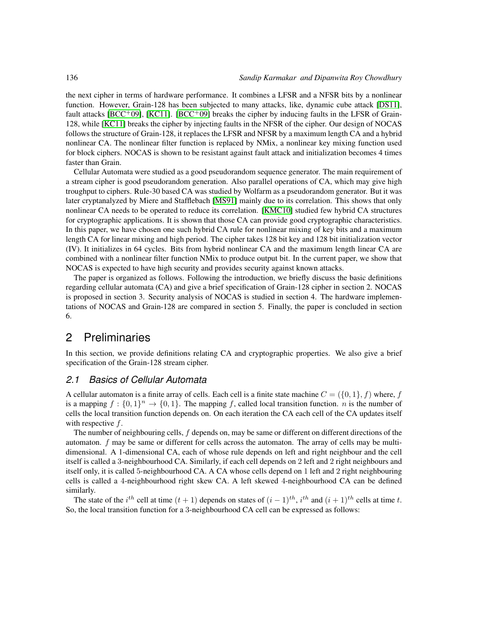the next cipher in terms of hardware performance. It combines a LFSR and a NFSR bits by a nonlinear function. However, Grain-128 has been subjected to many attacks, like, dynamic cube attack [\[DS11\]](#page-10-5), fault attacks [\[BCC](#page-10-6)<sup>+</sup>09], [\[KC11\]](#page-11-2). [BCC<sup>+</sup>09] breaks the cipher by inducing faults in the LFSR of Grain-128, while [\[KC11\]](#page-11-2) breaks the cipher by injecting faults in the NFSR of the cipher. Our design of NOCAS follows the structure of Grain-128, it replaces the LFSR and NFSR by a maximum length CA and a hybrid nonlinear CA. The nonlinear filter function is replaced by NMix, a nonlinear key mixing function used for block ciphers. NOCAS is shown to be resistant against fault attack and initialization becomes 4 times faster than Grain.

Cellular Automata were studied as a good pseudorandom sequence generator. The main requirement of a stream cipher is good pseudorandom generation. Also parallel operations of CA, which may give high troughput to ciphers. Rule-30 based CA was studied by Wolfarm as a pseudorandom generator. But it was later cryptanalyzed by Miere and Stafflebach [\[MS91\]](#page-11-3) mainly due to its correlation. This shows that only nonlinear CA needs to be operated to reduce its correlation. [\[KMC10\]](#page-11-4) studied few hybrid CA structures for cryptographic applications. It is shown that those CA can provide good cryptographic characteristics. In this paper, we have chosen one such hybrid CA rule for nonlinear mixing of key bits and a maximum length CA for linear mixing and high period. The cipher takes 128 bit key and 128 bit initialization vector (IV). It initializes in 64 cycles. Bits from hybrid nonlinear CA and the maximum length linear CA are combined with a nonlinear filter function NMix to produce output bit. In the current paper, we show that NOCAS is expected to have high security and provides security against known attacks.

The paper is organized as follows. Following the introduction, we briefly discuss the basic definitions regarding cellular automata (CA) and give a brief specification of Grain-128 cipher in section 2. NOCAS is proposed in section 3. Security analysis of NOCAS is studied in section 4. The hardware implementations of NOCAS and Grain-128 are compared in section 5. Finally, the paper is concluded in section 6.

# 2 Preliminaries

In this section, we provide definitions relating CA and cryptographic properties. We also give a brief specification of the Grain-128 stream cipher.

## *2.1 Basics of Cellular Automata*

A cellular automaton is a finite array of cells. Each cell is a finite state machine  $C = (\{0, 1\}, f)$  where, f is a mapping  $f: \{0,1\}^n \to \{0,1\}$ . The mapping f, called local transition function. *n* is the number of cells the local transition function depends on. On each iteration the CA each cell of the CA updates itself with respective  $f$ .

The number of neighbouring cells, f depends on, may be same or different on different directions of the automaton. f may be same or different for cells across the automaton. The array of cells may be multidimensional. A 1-dimensional CA, each of whose rule depends on left and right neighbour and the cell itself is called a 3-neighbourhood CA. Similarly, if each cell depends on 2 left and 2 right neighbours and itself only, it is called 5-neighbourhood CA. A CA whose cells depend on 1 left and 2 right neighbouring cells is called a 4-neighbourhood right skew CA. A left skewed 4-neighbourhood CA can be defined similarly.

The state of the  $i^{th}$  cell at time  $(t + 1)$  depends on states of  $(i - 1)^{th}$ ,  $i^{th}$  and  $(i + 1)^{th}$  cells at time t. So, the local transition function for a 3-neighbourhood CA cell can be expressed as follows: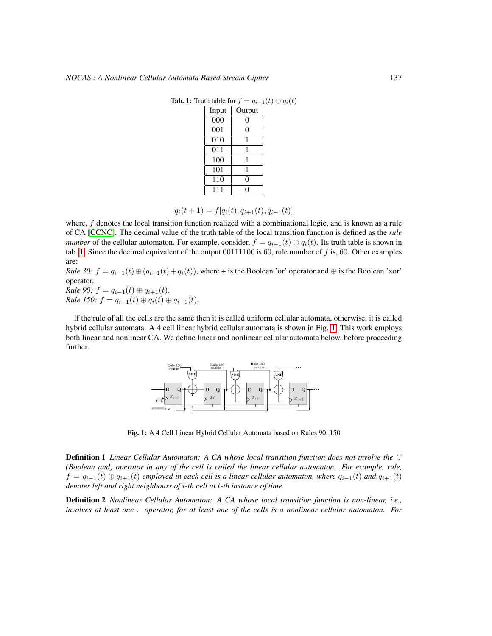<span id="page-2-0"></span>

| Input            | Output |
|------------------|--------|
| $\overline{000}$ |        |
| 001              | 0      |
| $\overline{0}10$ |        |
| 011              | 1      |
| 100              |        |
| 101              |        |
| 110              | 0      |
| 111              |        |
|                  |        |

Tab. 1: Truth table for  $f = q_{i-1}(t) \oplus q_i(t)$ 

 $q_i(t + 1) = f[q_i(t), q_{i+1}(t), q_{i-1}(t)]$ 

where,  $f$  denotes the local transition function realized with a combinational logic, and is known as a rule of CA [\[CCNC\]](#page-10-7). The decimal value of the truth table of the local transition function is defined as the *rule number* of the cellular automaton. For example, consider,  $f = q_{i-1}(t) \oplus q_i(t)$ . Its truth table is shown in tab. [1.](#page-2-0) Since the decimal equivalent of the output  $00111100$  is 60, rule number of f is, 60. Other examples are:

*Rule 30:*  $f = q_{i-1}(t) \oplus (q_{i+1}(t) + q_i(t))$ , where + is the Boolean 'or' operator and  $\oplus$  is the Boolean 'xor' operator.

*Rule 90:*  $f = q_{i-1}(t) \oplus q_{i+1}(t)$ . *Rule 150:*  $f = q_{i-1}(t) \oplus q_i(t) \oplus q_{i+1}(t)$ .

If the rule of all the cells are the same then it is called uniform cellular automata, otherwise, it is called hybrid cellular automata. A 4 cell linear hybrid cellular automata is shown in Fig. [1.](#page-2-1) This work employs both linear and nonlinear CA. We define linear and nonlinear cellular automata below, before proceeding further.



<span id="page-2-1"></span>Fig. 1: A 4 Cell Linear Hybrid Cellular Automata based on Rules 90, 150

Definition 1 *Linear Cellular Automaton: A CA whose local transition function does not involve the '.' (Boolean and) operator in any of the cell is called the linear cellular automaton. For example, rule,*  $f = q_{i-1}(t) \oplus q_{i+1}(t)$  *employed in each cell is a linear cellular automaton, where*  $q_{i-1}(t)$  *and*  $q_{i+1}(t)$ *denotes left and right neighbours of* i*-th cell at* t*-th instance of time.*

Definition 2 *Nonlinear Cellular Automaton: A CA whose local transition function is non-linear, i.e., involves at least one . operator, for at least one of the cells is a nonlinear cellular automaton. For*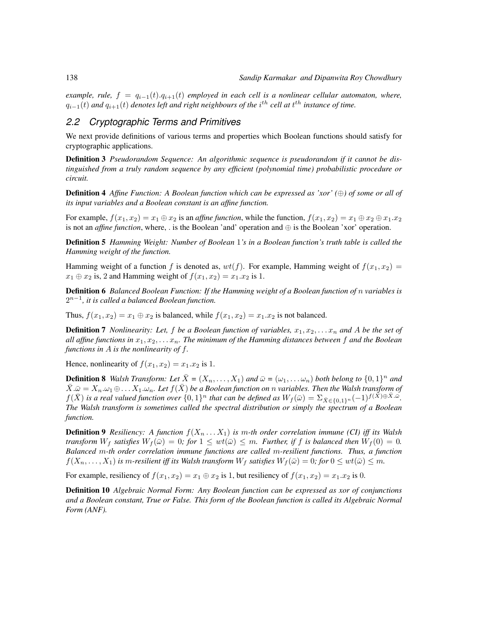*example, rule,*  $f = q_{i-1}(t) \cdot q_{i+1}(t)$  *employed in each cell is a nonlinear cellular automaton, where,*  $q_{i-1}(t)$  and  $q_{i+1}(t)$  denotes left and right neighbours of the  $i^{th}$  cell at  $t^{th}$  instance of time.

## *2.2 Cryptographic Terms and Primitives*

We next provide definitions of various terms and properties which Boolean functions should satisfy for cryptographic applications.

Definition 3 *Pseudorandom Sequence: An algorithmic sequence is pseudorandom if it cannot be distinguished from a truly random sequence by any efficient (polynomial time) probabilistic procedure or circuit.*

Definition 4 *Affine Function: A Boolean function which can be expressed as 'xor' (*⊕*) of some or all of its input variables and a Boolean constant is an affine function.*

For example,  $f(x_1, x_2) = x_1 \oplus x_2$  is an *affine function*, while the function,  $f(x_1, x_2) = x_1 \oplus x_2 \oplus x_1 \dots x_2$ is not an *affine function*, where, . is the Boolean 'and' operation and ⊕ is the Boolean 'xor' operation.

Definition 5 *Hamming Weight: Number of Boolean* 1*'s in a Boolean function's truth table is called the Hamming weight of the function.*

Hamming weight of a function f is denoted as,  $wt(f)$ . For example, Hamming weight of  $f(x_1, x_2)$  =  $x_1 \oplus x_2$  is, 2 and Hamming weight of  $f(x_1, x_2) = x_1 \cdot x_2$  is 1.

Definition 6 *Balanced Boolean Function: If the Hamming weight of a Boolean function of* n *variables is* 2 n−1 *, it is called a balanced Boolean function.*

Thus,  $f(x_1, x_2) = x_1 \oplus x_2$  is balanced, while  $f(x_1, x_2) = x_1 \cdot x_2$  is not balanced.

**Definition 7** *Nonlinearity: Let,*  $f$  *be a Boolean function of variables,*  $x_1, x_2, \ldots, x_n$  *and*  $A$  *be the set of all affine functions in*  $x_1, x_2, \ldots x_n$ . The minimum of the Hamming distances between f and the Boolean *functions in* A *is the nonlinearity of* f*.*

Hence, nonlinearity of  $f(x_1, x_2) = x_1.x_2$  is 1.

**Definition 8** *Walsh Transform: Let*  $\bar{X} = (X_n, \ldots, X_1)$  *and*  $\bar{\omega} = (\omega_1, \ldots, \omega_n)$  *both belong to*  $\{0, 1\}^n$  *and*  $\bar{X}.\bar{\omega} = X_n.\omega_1 \oplus \ldots X_1.\omega_n$ . Let  $f(\bar{X})$  be a Boolean function on n variables. Then the Walsh transform of  $f(\bar{X})$  *is a real valued function over*  $\{0,1\}^n$  *that can be defined as*  $W_f(\bar{\omega}) = \sum_{\bar{X} \in \{0,1\}^n} (-1)^{f(\bar{X}) \oplus \bar{X} \cdot \bar{\omega}}$ . *The Walsh transform is sometimes called the spectral distribution or simply the spectrum of a Boolean function.*

**Definition 9** *Resiliency:* A function  $f(X_n \ldots X_1)$  is m-th order correlation immune (CI) iff its Walsh *transform*  $W_f$  *satisfies*  $W_f(\bar{\omega}) = 0$ *; for*  $1 \leq wt(\bar{\omega}) \leq m$ *. Further, if* f *is balanced then*  $W_f(0) = 0$ *. Balanced* m*-th order correlation immune functions are called* m*-resilient functions. Thus, a function*  $f(X_n, \ldots, X_1)$  *is m-resilient iff its Walsh transform*  $W_f$  *satisfies*  $W_f(\bar{\omega}) = 0$ *; for*  $0 \le wt(\bar{\omega}) \le m$ *.* 

For example, resiliency of  $f(x_1, x_2) = x_1 \oplus x_2$  is 1, but resiliency of  $f(x_1, x_2) = x_1 \cdot x_2$  is 0.

Definition 10 *Algebraic Normal Form: Any Boolean function can be expressed as xor of conjunctions and a Boolean constant, True or False. This form of the Boolean function is called its Algebraic Normal Form (ANF).*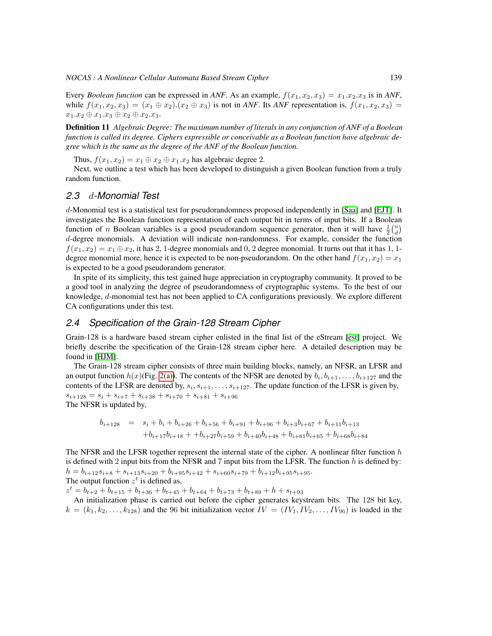Every *Boolean function* can be expressed in ANF. As an example,  $f(x_1, x_2, x_3) = x_1.x_2.x_3$  is in ANF, while  $f(x_1, x_2, x_3) = (x_1 \oplus x_2). (x_2 \oplus x_3)$  is not in *ANF*. Its *ANF* representation is,  $f(x_1, x_2, x_3) =$  $x_1.x_2 \oplus x_1.x_3 \oplus x_2 \oplus x_2.x_3.$ 

Definition 11 *Algebraic Degree: The maximum number of literals in any conjunction of ANF of a Boolean function is called its degree. Ciphers expressible or conceivable as a Boolean function have algebraic degree which is the same as the degree of the ANF of the Boolean function.*

Thus,  $f(x_1, x_2) = x_1 \oplus x_2 \oplus x_1 \dots x_2$  has algebraic degree 2.

Next, we outline a test which has been developed to distinguish a given Boolean function from a truly random function.

## *2.3* d*-Monomial Test*

d-Monomial test is a statistical test for pseudorandomness proposed independently in [\[Saa\]](#page-11-5) and [\[EJT\]](#page-10-8). It investigates the Boolean function representation of each output bit in terms of input bits. If a Boolean function of *n* Boolean variables is a good pseudorandom sequence generator, then it will have  $\frac{1}{2} {n \choose d}$ d-degree monomials. A deviation will indicate non-randomness. For example, consider the function  $f(x_1, x_2) = x_1 \oplus x_2$ , it has 2, 1-degree monomials and 0, 2 degree monomial. It turns out that it has 1, 1degree monomial more, hence it is expected to be non-pseudorandom. On the other hand  $f(x_1, x_2) = x_1$ is expected to be a good pseudorandom generator.

In spite of its simplicity, this test gained huge appreciation in cryptography community. It proved to be a good tool in analyzing the degree of pseudorandomness of cryptographic systems. To the best of our knowledge, d-monomial test has not been applied to CA configurations previously. We explore different CA configurations under this test.

## *2.4 Specification of the Grain-128 Stream Cipher*

Grain-128 is a hardware based stream cipher enlisted in the final list of the eStream [\[est\]](#page-10-9) project. We briefly describe the specification of the Grain-128 stream cipher here. A detailed description may be found in [\[HJM\]](#page-11-0).

The Grain-128 stream cipher consists of three main building blocks, namely, an NFSR, an LFSR and an output function  $h(x)$ (Fig. [2\(a\)\)](#page-5-0). The contents of the NFSR are denoted by  $b_i, b_{i+1}, \ldots, b_{i+127}$  and the contents of the LFSR are denoted by,  $s_i, s_{i+1}, \ldots, s_{i+127}$ . The update function of the LFSR is given by,  $s_{i+128} = s_i + s_{i+7} + s_{i+38} + s_{i+70} + s_{i+81} + s_{i+96}$ The NFSR is updated by,

$$
b_{i+128} = s_i + b_i + b_{i+26} + b_{i+56} + b_{i+91} + b_{i+96} + b_{i+3}b_{i+67} + b_{i+11}b_{i+13}
$$
  
+
$$
b_{i+17}b_{i+18} + b_{i+27}b_{i+59} + b_{i+40}b_{i+48} + b_{i+61}b_{i+65} + b_{i+68}b_{i+84}
$$

The NFSR and the LFSR together represent the internal state of the cipher. A nonlinear filter function  $h$ is defined with 2 input bits from the NFSR and 7 input bits from the LFSR. The function  $h$  is defined by:  $h = b_{i+12}s_{i+8} + s_{i+13}s_{i+20} + b_{i+95}s_{i+42} + s_{i+60}s_{i+79} + b_{i+12}b_{i+95}s_{i+95}.$ The output function  $z^t$  is defined as,

 $z^t = b_{t+2} + b_{t+15} + b_{t+36} + b_{t+45} + b_{t+64} + b_{t+73} + b_{t+89} + h + s_{t+93}$ 

An initialization phase is carried out before the cipher generates keystream bits. The 128 bit key,  $k = (k_1, k_2, \ldots, k_{128})$  and the 96 bit initialization vector  $IV = (IV_1, IV_2, \ldots, IV_{96})$  is loaded in the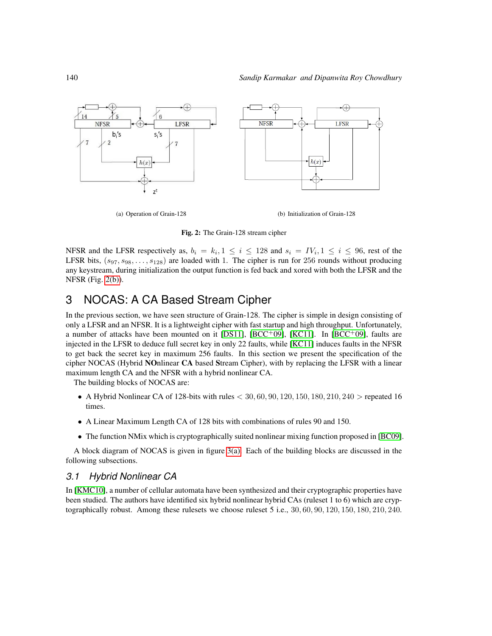<span id="page-5-0"></span>

(a) Operation of Grain-128 (b) Initialization of Grain-128

<span id="page-5-1"></span>Fig. 2: The Grain-128 stream cipher

NFSR and the LFSR respectively as,  $b_i = k_i, 1 \le i \le 128$  and  $s_i = IV_i, 1 \le i \le 96$ , rest of the LFSR bits,  $(s_{97}, s_{98}, \ldots, s_{128})$  are loaded with 1. The cipher is run for 256 rounds without producing any keystream, during initialization the output function is fed back and xored with both the LFSR and the NFSR (Fig. [2\(b\)\)](#page-5-1).

# 3 NOCAS: A CA Based Stream Cipher

In the previous section, we have seen structure of Grain-128. The cipher is simple in design consisting of only a LFSR and an NFSR. It is a lightweight cipher with fast startup and high throughput. Unfortunately, a number of attacks have been mounted on it [\[DS11\]](#page-10-5), [\[BCC](#page-10-6)+09], [\[KC11\]](#page-11-2). In [BCC+09], faults are injected in the LFSR to deduce full secret key in only 22 faults, while [\[KC11\]](#page-11-2) induces faults in the NFSR to get back the secret key in maximum 256 faults. In this section we present the specification of the cipher NOCAS (Hybrid NOnlinear CA based Stream Cipher), with by replacing the LFSR with a linear maximum length CA and the NFSR with a hybrid nonlinear CA.

The building blocks of NOCAS are:

- A Hybrid Nonlinear CA of 128-bits with rules  $< 30, 60, 90, 120, 150, 180, 210, 240 >$  repeated 16 times.
- A Linear Maximum Length CA of 128 bits with combinations of rules 90 and 150.
- The function NMix which is cryptographically suited nonlinear mixing function proposed in [\[BC09\]](#page-10-10).

A block diagram of NOCAS is given in figure [3\(a\).](#page-6-0) Each of the building blocks are discussed in the following subsections.

## *3.1 Hybrid Nonlinear CA*

In [\[KMC10\]](#page-11-4), a number of cellular automata have been synthesized and their cryptographic properties have been studied. The authors have identified six hybrid nonlinear hybrid CAs (ruleset 1 to 6) which are cryptographically robust. Among these rulesets we choose ruleset 5 i.e., 30, 60, 90, 120, 150, 180, 210, 240.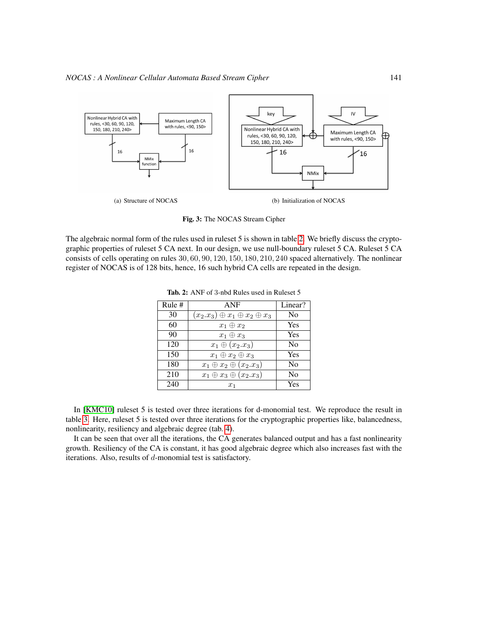<span id="page-6-0"></span>

<span id="page-6-2"></span>Fig. 3: The NOCAS Stream Cipher

The algebraic normal form of the rules used in ruleset 5 is shown in table [2.](#page-6-1) We briefly discuss the cryptographic properties of ruleset 5 CA next. In our design, we use null-boundary ruleset 5 CA. Ruleset 5 CA consists of cells operating on rules 30, 60, 90, 120, 150, 180, 210, 240 spaced alternatively. The nonlinear register of NOCAS is of 128 bits, hence, 16 such hybrid CA cells are repeated in the design.

| Rule# | <b>ANF</b>                                   | Linear?        |
|-------|----------------------------------------------|----------------|
| 30    | $(x_2.x_3) \oplus x_1 \oplus x_2 \oplus x_3$ | No             |
| 60    | $x_1 \oplus x_2$                             | Yes            |
| 90    | $x_1 \oplus x_3$                             | Yes            |
| 120   | $x_1 \oplus (x_2.x_3)$                       | N <sub>0</sub> |
| 150   | $x_1 \oplus x_2 \oplus x_3$                  | Yes            |
| 180   | $x_1 \oplus x_2 \oplus (x_2.x_3)$            | N <sub>0</sub> |
| 210   | $x_1 \oplus x_3 \oplus (x_2.x_3)$            | No             |
| 240   | $x_1$                                        | Yes            |

<span id="page-6-1"></span>Tab. 2: ANF of 3-nbd Rules used in Ruleset 5

In [\[KMC10\]](#page-11-4) ruleset 5 is tested over three iterations for d-monomial test. We reproduce the result in table [3.](#page-7-0) Here, ruleset 5 is tested over three iterations for the cryptographic properties like, balancedness, nonlinearity, resiliency and algebraic degree (tab. [4\)](#page-7-1).

It can be seen that over all the iterations, the CA generates balanced output and has a fast nonlinearity growth. Resiliency of the CA is constant, it has good algebraic degree which also increases fast with the iterations. Also, results of d-monomial test is satisfactory.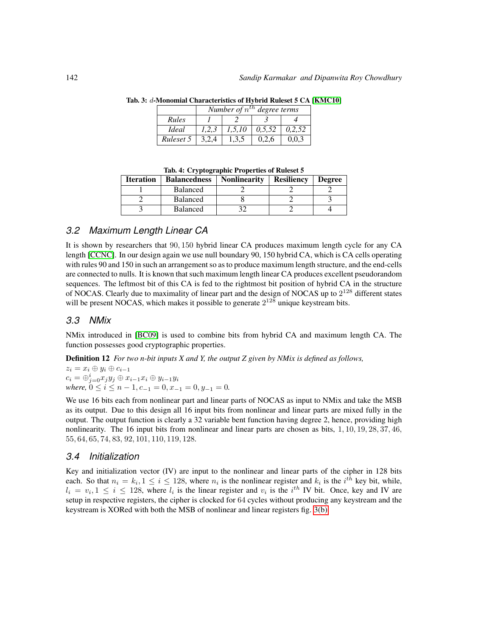<span id="page-7-0"></span>

|              | Number of $n^{th}$ degree terms |        |        |        |
|--------------|---------------------------------|--------|--------|--------|
| Rules        |                                 |        |        |        |
| <i>Ideal</i> | 1.2.3                           | 1.5.10 | 0.5.52 | 0.2.52 |
| Ruleset 5    | 3.2.4                           | 1.3.5  | 0.2.6  | 0.0.3  |

Tab. 3: d-Monomial Characteristics of Hybrid Ruleset 5 CA [\[KMC10\]](#page-11-4)

<span id="page-7-1"></span>Tab. 4: Cryptographic Properties of Ruleset 5

| <b>Iteration</b> | <b>Balancedness</b> | <b>Nonlinearity</b> | <b>Resiliency</b> | <b>Degree</b> |
|------------------|---------------------|---------------------|-------------------|---------------|
|                  | <b>Balanced</b>     |                     |                   |               |
|                  | <b>Balanced</b>     |                     |                   |               |
|                  | <b>Balanced</b>     |                     |                   |               |

## *3.2 Maximum Length Linear CA*

It is shown by researchers that 90, 150 hybrid linear CA produces maximum length cycle for any CA length [\[CCNC\]](#page-10-7). In our design again we use null boundary 90, 150 hybrid CA, which is CA cells operating with rules 90 and 150 in such an arrangement so as to produce maximum length structure, and the end-cells are connected to nulls. It is known that such maximum length linear CA produces excellent pseudorandom sequences. The leftmost bit of this CA is fed to the rightmost bit position of hybrid CA in the structure of NOCAS. Clearly due to maximality of linear part and the design of NOCAS up to  $2^{128}$  different states will be present NOCAS, which makes it possible to generate  $2^{128}$  unique keystream bits.

#### *3.3 NMix*

NMix introduced in [\[BC09\]](#page-10-10) is used to combine bits from hybrid CA and maximum length CA. The function possesses good cryptographic properties.

Definition 12 *For two n-bit inputs X and Y, the output Z given by NMix is defined as follows,*

 $z_i = x_i \oplus y_i \oplus c_{i-1}$  $c_i = \bigoplus_{j=0}^i x_j y_j \oplus x_{i-1} x_i \oplus y_{i-1} y_i$ *where,*  $0 \le i \le n-1, c_{-1} = 0, x_{-1} = 0, y_{-1} = 0$ .

We use 16 bits each from nonlinear part and linear parts of NOCAS as input to NMix and take the MSB as its output. Due to this design all 16 input bits from nonlinear and linear parts are mixed fully in the output. The output function is clearly a 32 variable bent function having degree 2, hence, providing high nonlinearity. The 16 input bits from nonlinear and linear parts are chosen as bits, 1, 10, 19, 28, 37, 46, 55, 64, 65, 74, 83, 92, 101, 110, 119, 128.

## *3.4 Initialization*

Key and initialization vector (IV) are input to the nonlinear and linear parts of the cipher in 128 bits each. So that  $n_i = k_i, 1 \le i \le 128$ , where  $n_i$  is the nonlinear register and  $k_i$  is the  $i^{th}$  key bit, while,  $l_i = v_i, 1 \le i \le 128$ , where  $l_i$  is the linear register and  $v_i$  is the i<sup>th</sup> IV bit. Once, key and IV are setup in respective registers, the cipher is clocked for 64 cycles without producing any keystream and the keystream is XORed with both the MSB of nonlinear and linear registers fig. [3\(b\).](#page-6-2)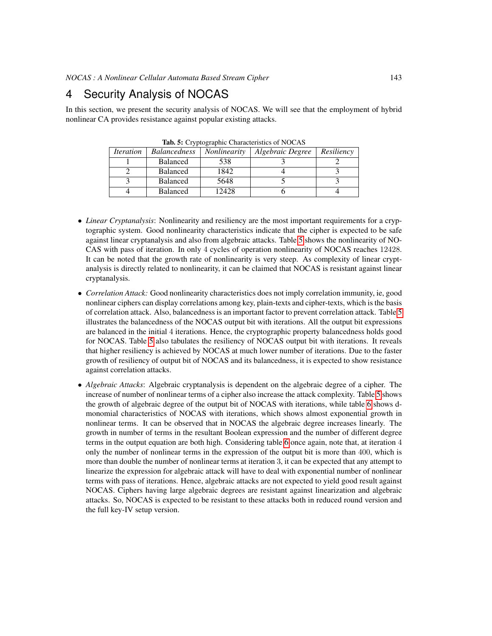# 4 Security Analysis of NOCAS

In this section, we present the security analysis of NOCAS. We will see that the employment of hybrid nonlinear CA provides resistance against popular existing attacks.

| <i><u><b>Iteration</b></u></i> | <i>Balancedness</i> | <i>Nonlinearity</i> | Algebraic Degree | Resiliency |  |
|--------------------------------|---------------------|---------------------|------------------|------------|--|
|                                | <b>Balanced</b>     | 538                 |                  |            |  |
|                                | <b>Balanced</b>     | 1842                |                  |            |  |
|                                | <b>Balanced</b>     | 5648                |                  |            |  |
|                                | <b>Balanced</b>     | 12428               |                  |            |  |

<span id="page-8-0"></span>Tab. 5: Cryptographic Characteristics of NOCAS

- *Linear Cryptanalysis*: Nonlinearity and resiliency are the most important requirements for a cryptographic system. Good nonlinearity characteristics indicate that the cipher is expected to be safe against linear cryptanalysis and also from algebraic attacks. Table [5](#page-8-0) shows the nonlinearity of NO-CAS with pass of iteration. In only 4 cycles of operation nonlinearity of NOCAS reaches 12428. It can be noted that the growth rate of nonlinearity is very steep. As complexity of linear cryptanalysis is directly related to nonlinearity, it can be claimed that NOCAS is resistant against linear cryptanalysis.
- *Correlation Attack:* Good nonlinearity characteristics does not imply correlation immunity, ie, good nonlinear ciphers can display correlations among key, plain-texts and cipher-texts, which is the basis of correlation attack. Also, balancedness is an important factor to prevent correlation attack. Table [5](#page-8-0) illustrates the balancedness of the NOCAS output bit with iterations. All the output bit expressions are balanced in the initial 4 iterations. Hence, the cryptographic property balancedness holds good for NOCAS. Table [5](#page-8-0) also tabulates the resiliency of NOCAS output bit with iterations. It reveals that higher resiliency is achieved by NOCAS at much lower number of iterations. Due to the faster growth of resiliency of output bit of NOCAS and its balancedness, it is expected to show resistance against correlation attacks.
- *Algebraic Attacks*: Algebraic cryptanalysis is dependent on the algebraic degree of a cipher. The increase of number of nonlinear terms of a cipher also increase the attack complexity. Table [5](#page-8-0) shows the growth of algebraic degree of the output bit of NOCAS with iterations, while table [6](#page-9-0) shows dmonomial characteristics of NOCAS with iterations, which shows almost exponential growth in nonlinear terms. It can be observed that in NOCAS the algebraic degree increases linearly. The growth in number of terms in the resultant Boolean expression and the number of different degree terms in the output equation are both high. Considering table [6](#page-9-0) once again, note that, at iteration 4 only the number of nonlinear terms in the expression of the output bit is more than 400, which is more than double the number of nonlinear terms at iteration 3, it can be expected that any attempt to linearize the expression for algebraic attack will have to deal with exponential number of nonlinear terms with pass of iterations. Hence, algebraic attacks are not expected to yield good result against NOCAS. Ciphers having large algebraic degrees are resistant against linearization and algebraic attacks. So, NOCAS is expected to be resistant to these attacks both in reduced round version and the full key-IV setup version.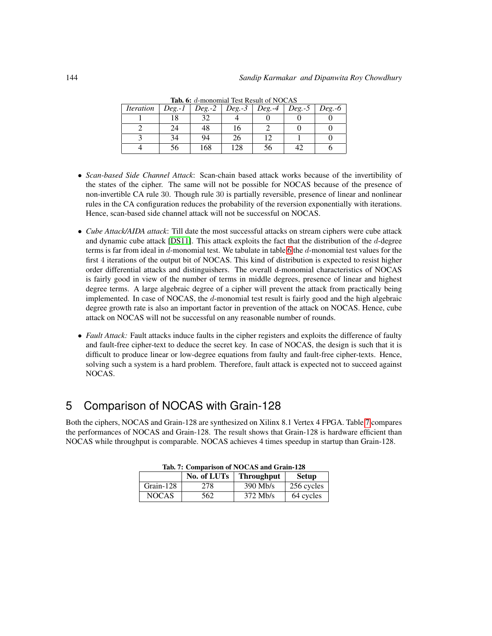| <i><u><b>Iteration</b></u></i> | $Deg. -1$ | $Deg. -2$ | $Deg.-3$ | $Deg. -4$ | $Deg. -5$ | $Deg.-6$ |
|--------------------------------|-----------|-----------|----------|-----------|-----------|----------|
|                                | 18        | 32        |          |           |           |          |
|                                | 24        | 48        |          |           |           |          |
|                                | 34        | 94        | 26       |           |           |          |
|                                |           | 168       | .28      |           |           |          |

<span id="page-9-0"></span>Tab. 6: d-monomial Test Result of NOCAS

- *Scan-based Side Channel Attack*: Scan-chain based attack works because of the invertibility of the states of the cipher. The same will not be possible for NOCAS because of the presence of non-invertible CA rule 30. Though rule 30 is partially reversible, presence of linear and nonlinear rules in the CA configuration reduces the probability of the reversion exponentially with iterations. Hence, scan-based side channel attack will not be successful on NOCAS.
- *Cube Attack/AIDA attack*: Till date the most successful attacks on stream ciphers were cube attack and dynamic cube attack [\[DS11\]](#page-10-5). This attack exploits the fact that the distribution of the d-degree terms is far from ideal in d-monomial test. We tabulate in table [6](#page-9-0) the d-monomial test values for the first 4 iterations of the output bit of NOCAS. This kind of distribution is expected to resist higher order differential attacks and distinguishers. The overall d-monomial characteristics of NOCAS is fairly good in view of the number of terms in middle degrees, presence of linear and highest degree terms. A large algebraic degree of a cipher will prevent the attack from practically being implemented. In case of NOCAS, the d-monomial test result is fairly good and the high algebraic degree growth rate is also an important factor in prevention of the attack on NOCAS. Hence, cube attack on NOCAS will not be successful on any reasonable number of rounds.
- *Fault Attack:* Fault attacks induce faults in the cipher registers and exploits the difference of faulty and fault-free cipher-text to deduce the secret key. In case of NOCAS, the design is such that it is difficult to produce linear or low-degree equations from faulty and fault-free cipher-texts. Hence, solving such a system is a hard problem. Therefore, fault attack is expected not to succeed against NOCAS.

# 5 Comparison of NOCAS with Grain-128

Both the ciphers, NOCAS and Grain-128 are synthesized on Xilinx 8.1 Vertex 4 FPGA. Table [7](#page-9-1) compares the performances of NOCAS and Grain-128. The result shows that Grain-128 is hardware efficient than NOCAS while throughput is comparable. NOCAS achieves 4 times speedup in startup than Grain-128.

| 1ab. /: Comparison of NOCAS and Grain-128 |     |              |            |  |  |
|-------------------------------------------|-----|--------------|------------|--|--|
| No. of LUTs<br><b>Throughput</b>          |     | <b>Setup</b> |            |  |  |
| Grain-128                                 | 278 | $390$ Mb/s   | 256 cycles |  |  |
| <b>NOCAS</b>                              | 562 | $372$ Mb/s   | 64 cycles  |  |  |

<span id="page-9-1"></span>Tab. 7: Comparison of NOCAS and Grain-128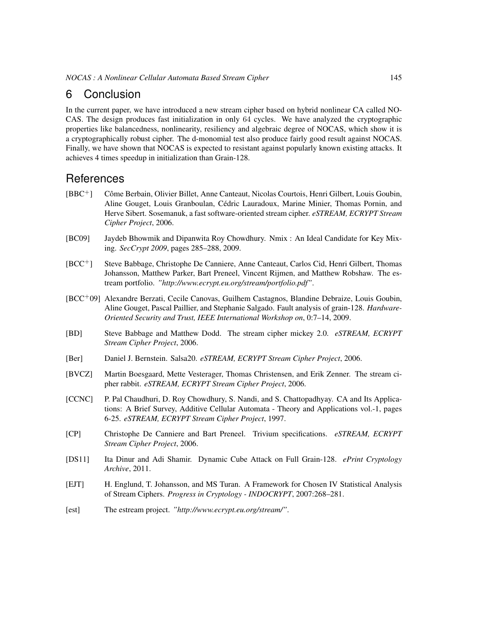## 6 Conclusion

In the current paper, we have introduced a new stream cipher based on hybrid nonlinear CA called NO-CAS. The design produces fast initialization in only 64 cycles. We have analyzed the cryptographic properties like balancedness, nonlinearity, resiliency and algebraic degree of NOCAS, which show it is a cryptographically robust cipher. The d-monomial test also produce fairly good result against NOCAS. Finally, we have shown that NOCAS is expected to resistant against popularly known existing attacks. It achieves 4 times speedup in initialization than Grain-128.

# **References**

- <span id="page-10-4"></span>[BBC<sup>+</sup>] Côme Berbain, Olivier Billet, Anne Canteaut, Nicolas Courtois, Henri Gilbert, Louis Goubin, Aline Gouget, Louis Granboulan, Cedric Lauradoux, Marine Minier, Thomas Pornin, and ´ Herve Sibert. Sosemanuk, a fast software-oriented stream cipher. *eSTREAM, ECRYPT Stream Cipher Project*, 2006.
- <span id="page-10-10"></span>[BC09] Jaydeb Bhowmik and Dipanwita Roy Chowdhury. Nmix : An Ideal Candidate for Key Mixing. *SecCrypt 2009*, pages 285–288, 2009.
- [BCC<sup>+</sup>] Steve Babbage, Christophe De Canniere, Anne Canteaut, Carlos Cid, Henri Gilbert, Thomas Johansson, Matthew Parker, Bart Preneel, Vincent Rijmen, and Matthew Robshaw. The estream portfolio. *"http://www.ecrypt.eu.org/stream/portfolio.pdf"*.
- <span id="page-10-6"></span>[BCC<sup>+</sup>09] Alexandre Berzati, Cecile Canovas, Guilhem Castagnos, Blandine Debraize, Louis Goubin, Aline Gouget, Pascal Paillier, and Stephanie Salgado. Fault analysis of grain-128. *Hardware-Oriented Security and Trust, IEEE International Workshop on*, 0:7–14, 2009.
- <span id="page-10-1"></span>[BD] Steve Babbage and Matthew Dodd. The stream cipher mickey 2.0. *eSTREAM, ECRYPT Stream Cipher Project*, 2006.
- <span id="page-10-3"></span>[Ber] Daniel J. Bernstein. Salsa20. *eSTREAM, ECRYPT Stream Cipher Project*, 2006.
- <span id="page-10-2"></span>[BVCZ] Martin Boesgaard, Mette Vesterager, Thomas Christensen, and Erik Zenner. The stream cipher rabbit. *eSTREAM, ECRYPT Stream Cipher Project*, 2006.
- <span id="page-10-7"></span>[CCNC] P. Pal Chaudhuri, D. Roy Chowdhury, S. Nandi, and S. Chattopadhyay. CA and Its Applications: A Brief Survey, Additive Cellular Automata - Theory and Applications vol.-1, pages 6-25. *eSTREAM, ECRYPT Stream Cipher Project*, 1997.
- <span id="page-10-0"></span>[CP] Christophe De Canniere and Bart Preneel. Trivium specifications. *eSTREAM, ECRYPT Stream Cipher Project*, 2006.
- <span id="page-10-5"></span>[DS11] Ita Dinur and Adi Shamir. Dynamic Cube Attack on Full Grain-128. *ePrint Cryptology Archive*, 2011.
- <span id="page-10-8"></span>[EJT] H. Englund, T. Johansson, and MS Turan. A Framework for Chosen IV Statistical Analysis of Stream Ciphers. *Progress in Cryptology - INDOCRYPT*, 2007:268–281.
- <span id="page-10-9"></span>[est] The estream project. *"http://www.ecrypt.eu.org/stream/"*.